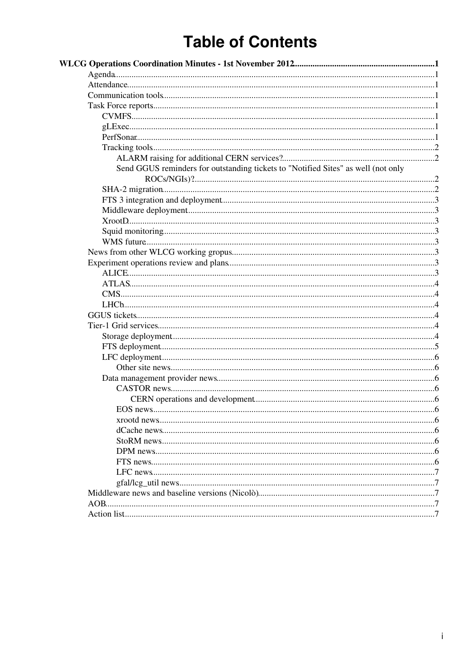# **Table of Contents**

| Send GGUS reminders for outstanding tickets to "Notified Sites" as well (not only |  |
|-----------------------------------------------------------------------------------|--|
|                                                                                   |  |
|                                                                                   |  |
|                                                                                   |  |
|                                                                                   |  |
|                                                                                   |  |
|                                                                                   |  |
|                                                                                   |  |
|                                                                                   |  |
|                                                                                   |  |
|                                                                                   |  |
|                                                                                   |  |
|                                                                                   |  |
|                                                                                   |  |
|                                                                                   |  |
|                                                                                   |  |
|                                                                                   |  |
|                                                                                   |  |
|                                                                                   |  |
|                                                                                   |  |
|                                                                                   |  |
|                                                                                   |  |
|                                                                                   |  |
|                                                                                   |  |
|                                                                                   |  |
|                                                                                   |  |
|                                                                                   |  |
|                                                                                   |  |
|                                                                                   |  |
|                                                                                   |  |
|                                                                                   |  |
|                                                                                   |  |
|                                                                                   |  |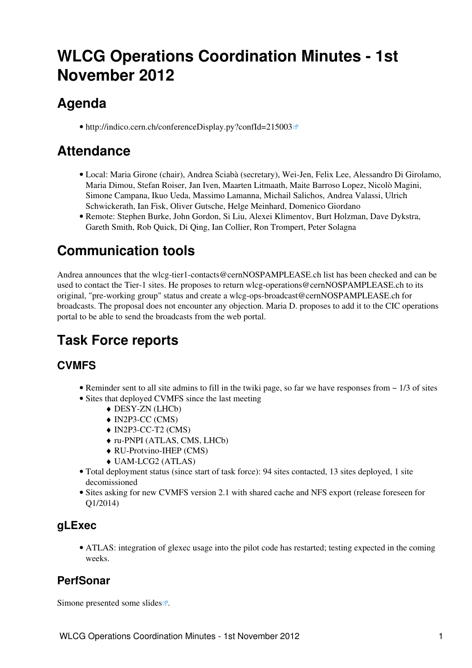# <span id="page-1-0"></span>**WLCG Operations Coordination Minutes - 1st November 2012**

## <span id="page-1-1"></span>**Agenda**

• <http://indico.cern.ch/conferenceDisplay.py?confId=215003>

## <span id="page-1-2"></span>**Attendance**

- Local: Maria Girone (chair), Andrea Sciabà (secretary), Wei-Jen, Felix Lee, Alessandro Di Girolamo, Maria Dimou, Stefan Roiser, Jan Iven, Maarten Litmaath, Maite Barroso Lopez, Nicolò Magini, Simone Campana, Ikuo Ueda, Massimo Lamanna, Michail Salichos, Andrea Valassi, Ulrich Schwickerath, Ian Fisk, Oliver Gutsche, Helge Meinhard, Domenico Giordano
- Remote: Stephen Burke, John Gordon, Si Liu, Alexei Klimentov, Burt Holzman, Dave Dykstra, Gareth Smith, Rob Quick, Di Qing, Ian Collier, Ron Trompert, Peter Solagna

## <span id="page-1-3"></span>**Communication tools**

Andrea announces that the [wlcg-tier1-contacts@cernNOSPAMPLEASE.ch](mailto:wlcg-tier1-contacts@cernNOSPAMPLEASE.ch) list has been checked and can be used to contact the Tier-1 sites. He proposes to return [wlcg-operations@cernNOSPAMPLEASE.ch](mailto:wlcg-operations@cernNOSPAMPLEASE.ch) to its original, "pre-working group" status and create a [wlcg-ops-broadcast@cernNOSPAMPLEASE.ch](mailto:wlcg-ops-broadcast@cernNOSPAMPLEASE.ch) for broadcasts. The proposal does not encounter any objection. Maria D. proposes to add it to the CIC operations portal to be able to send the broadcasts from the web portal.

## <span id="page-1-4"></span>**Task Force reports**

## <span id="page-1-5"></span>**CVMFS**

- Reminder sent to all site admins to fill in the twiki page, so far we have responses from  $\sim 1/3$  of sites
- Sites that deployed CVMFS since the last meeting
	- ♦ DESY-ZN (LHCb)
	- ♦ [IN2P3-](https://twiki.cern.ch/twiki/bin/view/LCG/IN2P3)CC (CMS)
	- ♦ [IN2P3-](https://twiki.cern.ch/twiki/bin/view/LCG/IN2P3)CC-T2 (CMS)
	- ♦ ru-PNPI (ATLAS, CMS, LHCb)
	- ♦ RU-Protvino-IHEP (CMS)
	- ♦ UAM-LCG2 (ATLAS)
- Total deployment status (since start of task force): 94 sites contacted, 13 sites deployed, 1 site decomissioned
- Sites asking for new CVMFS version 2.1 with shared cache and NFS export (release foreseen for Q1/2014)

### <span id="page-1-6"></span>**gLExec**

ATLAS: integration of glexec usage into the pilot code has restarted; testing expected in the coming • weeks.

### <span id="page-1-7"></span>**PerfSonar**

Simone presented some [slides](http://indico.cern.ch/getFile.py/access?subContId=2&contribId=1&resId=1&materialId=slides&confId=215003)  $\mathbb{Z}$ .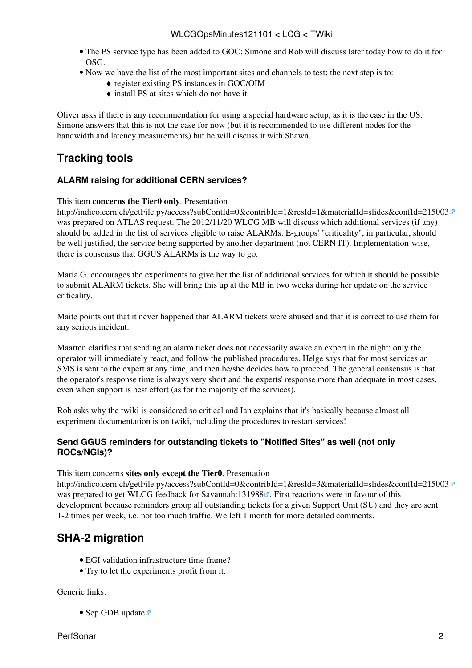- The PS service type has been added to GOC; Simone and Rob will discuss later today how to do it for OSG.
- Now we have the list of the most important sites and channels to test; the next step is to:
	- ♦ register existing PS instances in GOC/OIM
	- $\bullet$  install PS at sites which do not have it

Oliver asks if there is any recommendation for using a special hardware setup, as it is the case in the US. Simone answers that this is not the case for now (but it is recommended to use different nodes for the bandwidth and latency measurements) but he will discuss it with Shawn.

### <span id="page-2-0"></span>**Tracking tools**

#### <span id="page-2-1"></span>**ALARM raising for additional CERN services?**

This item **concerns the Tier0 only**. Presentation

<http://indico.cern.ch/getFile.py/access?subContId=0&contribId=1&resId=1&materialId=slides&confId=215003><sup>®</sup> was prepared on ATLAS request. The 2012/11/20 WLCG MB will discuss which additional services (if any) should be added in the list of services eligible to raise ALARMs. E-groups' "criticality", in particular, should be well justified, the service being supported by another department (not CERN IT). Implementation-wise, there is consensus that GGUS ALARMs is the way to go.

Maria G. encourages the experiments to give her the list of additional services for which it should be possible to submit ALARM tickets. She will bring this up at the MB in two weeks during her update on the service criticality.

Maite points out that it never happened that ALARM tickets were abused and that it is correct to use them for any serious incident.

Maarten clarifies that sending an alarm ticket does not necessarily awake an expert in the night: only the operator will immediately react, and follow the published procedures. Helge says that for most services an SMS is sent to the expert at any time, and then he/she decides how to proceed. The general consensus is that the operator's response time is always very short and the experts' response more than adequate in most cases, even when support is best effort (as for the majority of the services).

Rob asks why the twiki is considered so critical and Ian explains that it's basically because almost all experiment documentation is on twiki, including the procedures to restart services!

#### <span id="page-2-2"></span>**Send GGUS reminders for outstanding tickets to "Notified Sites" as well (not only ROCs/NGIs)?**

This item concerns **sites only except the Tier0**. Presentation

<http://indico.cern.ch/getFile.py/access?subContId=0&contribId=1&resId=3&materialId=slides&confId=215003><sup>®</sup> was prepared to get WLCG feedback for [Savannah:131988](https://savannah.cern.ch/support/?131988)<sup> $\alpha$ </sup>. First reactions were in favour of this development because reminders group all outstanding tickets for a given Support Unit (SU) and they are sent 1-2 times per week, i.e. not too much traffic. We left 1 month for more detailed comments.

### <span id="page-2-3"></span>**SHA-2 migration**

- EGI validation infrastructure time frame?
- Try to let the experiments profit from it.

Generic links:

• [Sep GDB update](http://indico.cern.ch/getFile.py/access?contribId=5&sessionId=1&resId=1&materialId=slides&confId=155072)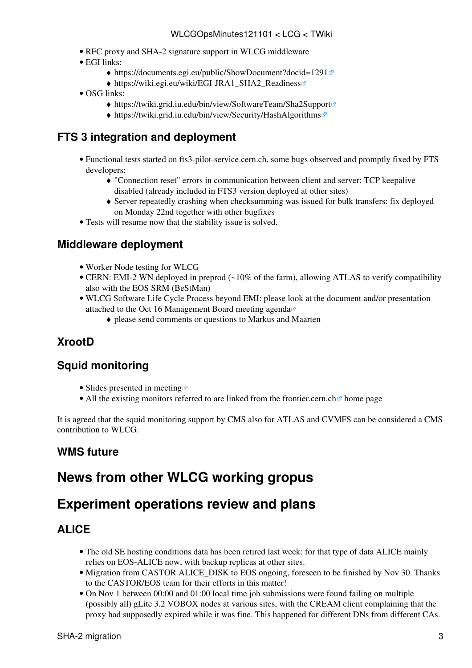- [RFC proxy and SHA-2 signature support in WLCG middleware](https://twiki.cern.ch/twiki/bin/view/LCG/RFCproxySHA2support)
- EGI links:
	- ♦ <https://documents.egi.eu/public/ShowDocument?docid=1291>
	- ◆ [https://wiki.egi.eu/wiki/EGI-JRA1\\_SHA2\\_Readiness](https://wiki.egi.eu/wiki/EGI-JRA1_SHA2_Readiness)
- OSG links:
	- ♦ <https://twiki.grid.iu.edu/bin/view/SoftwareTeam/Sha2Support>
	- ♦ <https://twiki.grid.iu.edu/bin/view/Security/HashAlgorithms>

### <span id="page-3-0"></span>**FTS 3 integration and deployment**

- Functional tests started on fts3-pilot-service.cern.ch, some bugs observed and promptly fixed by FTS developers:
	- "Connection reset" errors in communication between client and server: TCP keepalive ♦ disabled (already included in FTS3 version deployed at other sites)
	- Server repeatedly crashing when checksumming was issued for bulk transfers: fix deployed ♦ on Monday 22nd together with other bugfixes
- Tests will resume now that the stability issue is solved.

### <span id="page-3-1"></span>**Middleware deployment**

- [Worker Node testing for WLCG](https://twiki.cern.ch/twiki/bin/view/LCG/WorkerNodeTesting)
- CERN: EMI-2 WN deployed in preprod (~10% of the farm), allowing ATLAS to verify compatibility also with the EOS SRM (BeStMan)
- WLCG Software Life Cycle Process beyond EMI: please look at the document and/or presentation attached to the [Oct 16 Management Board meeting agenda](https://indico.cern.ch/conferenceDisplay.py?confId=184384)
	- ♦ please send comments or questions to Markus and Maarten

## <span id="page-3-2"></span>**XrootD**

### <span id="page-3-3"></span>**Squid monitoring**

- [Slides presented in meeting](https://indico.cern.ch/getFile.py/access?subContId=1&contribId=1&resId=0&materialId=slides&confId=215003)  $\mathbb{F}$
- All the existing monitors referred to are linked from the [frontier.cern.ch](http://frontier.cern.ch) $\mathbb{F}$  home page

It is agreed that the squid monitoring support by CMS also for ATLAS and CVMFS can be considered a CMS contribution to WLCG.

### <span id="page-3-4"></span>**WMS future**

## <span id="page-3-5"></span>**News from other WLCG working gropus**

## <span id="page-3-6"></span>**Experiment operations review and plans**

## <span id="page-3-7"></span>**ALICE**

- The old SE hosting conditions data has been retired last week: for that type of data ALICE mainly relies on EOS-ALICE now, with backup replicas at other sites.
- Migration from CASTOR ALICE\_DISK to EOS ongoing, foreseen to be finished by Nov 30. Thanks to the CASTOR/EOS team for their efforts in this matter!
- On Nov 1 between 00:00 and 01:00 local time job submissions were found failing on multiple (possibly all) gLite 3.2 VOBOX nodes at various sites, with the [CREAM](https://twiki.cern.ch/twiki/bin/view/LCG/CREAM) client complaining that the proxy had supposedly expired while it was fine. This happened for different DNs from different CAs.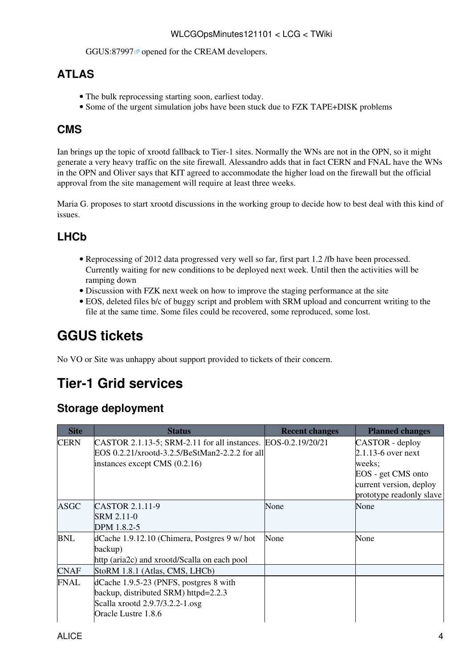#### WLCGOpsMinutes121101 < LCG < TWiki

GGUS:87997<sup> $\alpha$ </sup> opened for the [CREAM](https://twiki.cern.ch/twiki/bin/view/LCG/CREAM) developers.

### <span id="page-4-0"></span>**ATLAS**

- The bulk reprocessing starting soon, earliest today.
- Some of the urgent simulation jobs have been stuck due to FZK TAPE+DISK problems

## <span id="page-4-1"></span>**CMS**

Ian brings up the topic of xrootd fallback to Tier-1 sites. Normally the WNs are not in the OPN, so it might generate a very heavy traffic on the site firewall. Alessandro adds that in fact CERN and FNAL have the WNs in the OPN and Oliver says that KIT agreed to accommodate the higher load on the firewall but the official approval from the site management will require at least three weeks.

Maria G. proposes to start xrootd discussions in the working group to decide how to best deal with this kind of issues.

## <span id="page-4-2"></span>**LHCb**

- Reprocessing of 2012 data progressed very well so far, first part 1.2 /fb have been processed. Currently waiting for new conditions to be deployed next week. Until then the activities will be ramping down
- Discussion with FZK next week on how to improve the staging performance at the site
- EOS, deleted files b/c of buggy script and problem with SRM upload and concurrent writing to the file at the same time. Some files could be recovered, some reproduced, some lost.

## <span id="page-4-3"></span>**GGUS tickets**

No VO or Site was unhappy about support provided to tickets of their concern.

## <span id="page-4-4"></span>**Tier-1 Grid services**

### <span id="page-4-5"></span>**Storage deployment**

| <b>Site</b> | <b>Status</b>                                                 | <b>Recent changes</b> | <b>Planned changes</b>   |
|-------------|---------------------------------------------------------------|-----------------------|--------------------------|
| <b>CERN</b> | CASTOR 2.1.13-5; SRM-2.11 for all instances. EOS-0.2.19/20/21 |                       | CASTOR - deploy          |
|             | EOS 0.2.21/xrootd-3.2.5/BeStMan2-2.2.2 for all                |                       | 2.1.13-6 over next       |
|             | instances except CMS $(0.2.16)$                               |                       | weeks;                   |
|             |                                                               |                       | EOS - get CMS onto       |
|             |                                                               |                       | current version, deploy  |
|             |                                                               |                       | prototype readonly slave |
| <b>ASGC</b> | CASTOR 2.1.11-9                                               | None                  | None                     |
|             | SRM 2.11-0                                                    |                       |                          |
|             | DPM 1.8.2-5                                                   |                       |                          |
| <b>BNL</b>  | dCache 1.9.12.10 (Chimera, Postgres 9 w/ hot                  | None                  | None                     |
|             | backup)                                                       |                       |                          |
|             | http (aria2c) and xrootd/Scalla on each pool                  |                       |                          |
| <b>CNAF</b> | StoRM 1.8.1 (Atlas, CMS, LHCb)                                |                       |                          |
| FNAL        | dCache 1.9.5-23 (PNFS, postgres 8 with                        |                       |                          |
|             | backup, distributed SRM) httpd=2.2.3                          |                       |                          |
|             | Scalla xrootd 2.9.7/3.2.2-1.osg                               |                       |                          |
|             | Oracle Lustre 1.8.6                                           |                       |                          |
|             |                                                               |                       |                          |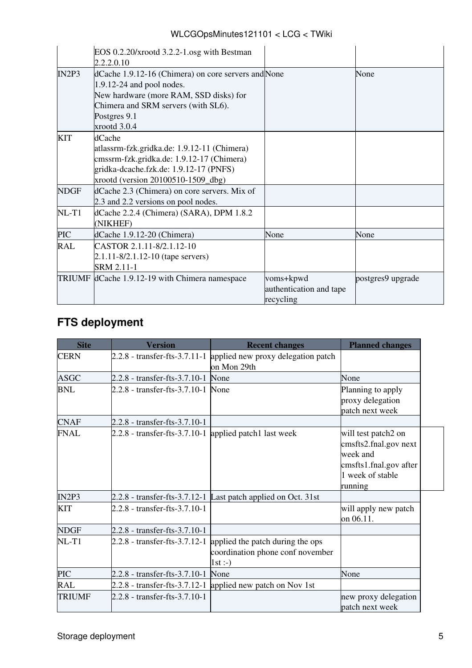| WLCGOpsMinutes121101 < LCG < TWiki |  |  |
|------------------------------------|--|--|
|------------------------------------|--|--|

|             | EOS $0.2.20/x$ rootd $3.2.2-1$ .osg with Bestman<br>2.2.2.0.10                                                                                                                                      |                                                   |                   |
|-------------|-----------------------------------------------------------------------------------------------------------------------------------------------------------------------------------------------------|---------------------------------------------------|-------------------|
| IN2P3       | dCache 1.9.12-16 (Chimera) on core servers and None<br>1.9.12-24 and pool nodes.<br>New hardware (more RAM, SSD disks) for<br>Chimera and SRM servers (with SL6).<br>Postgres 9.1<br>xrootd $3.0.4$ |                                                   | None              |
| <b>KIT</b>  | dCache<br>atlassrm-fzk.gridka.de: 1.9.12-11 (Chimera)<br>cmssrm-fzk.gridka.de: 1.9.12-17 (Chimera)<br>gridka-dcache.fzk.de: 1.9.12-17 (PNFS)<br>xrootd (version 20100510-1509_dbg)                  |                                                   |                   |
| <b>NDGF</b> | dCache 2.3 (Chimera) on core servers. Mix of<br>2.3 and 2.2 versions on pool nodes.                                                                                                                 |                                                   |                   |
| $NL-T1$     | dCache 2.2.4 (Chimera) (SARA), DPM 1.8.2<br>(NIKHEF)                                                                                                                                                |                                                   |                   |
| <b>PIC</b>  | dCache 1.9.12-20 (Chimera)                                                                                                                                                                          | None                                              | None              |
| <b>RAL</b>  | CASTOR 2.1.11-8/2.1.12-10<br>2.1.11-8/2.1.12-10 (tape servers)<br>SRM 2.11-1                                                                                                                        |                                                   |                   |
|             | TRIUMF dCache 1.9.12-19 with Chimera namespace                                                                                                                                                      | voms+kpwd<br>authentication and tape<br>recycling | postgres9 upgrade |

## <span id="page-5-0"></span>**FTS deployment**

| <b>Site</b>   | <b>Version</b>                                         | <b>Recent changes</b>                                                                                      | <b>Planned changes</b>                                                                                            |
|---------------|--------------------------------------------------------|------------------------------------------------------------------------------------------------------------|-------------------------------------------------------------------------------------------------------------------|
| <b>CERN</b>   |                                                        | 2.2.8 - transfer-fts-3.7.11-1 applied new proxy delegation patch<br>on Mon 29th                            |                                                                                                                   |
| <b>ASGC</b>   | 2.2.8 - transfer-fts-3.7.10-1 None                     |                                                                                                            | None                                                                                                              |
| <b>BNL</b>    | 2.2.8 - transfer-fts-3.7.10-1 None                     |                                                                                                            | Planning to apply<br>proxy delegation<br>patch next week                                                          |
| <b>CNAF</b>   | 2.2.8 - transfer-fts-3.7.10-1                          |                                                                                                            |                                                                                                                   |
| <b>FNAL</b>   | 2.2.8 - transfer-fts-3.7.10-1 applied patch1 last week |                                                                                                            | will test patch2 on<br>cmsfts2.fnal.gov next<br>week and<br>cmsfts1.fnal.gov after<br>1 week of stable<br>running |
| IN2P3         |                                                        | 2.2.8 - transfer-fts-3.7.12-1 Last patch applied on Oct. 31st                                              |                                                                                                                   |
| <b>KIT</b>    | 2.2.8 - transfer-fts-3.7.10-1                          |                                                                                                            | will apply new patch<br>on 06.11.                                                                                 |
| <b>NDGF</b>   | 2.2.8 - transfer-fts-3.7.10-1                          |                                                                                                            |                                                                                                                   |
| $NL-T1$       |                                                        | 2.2.8 - transfer-fts-3.7.12-1 applied the patch during the ops<br>coordination phone conf november<br>1st: |                                                                                                                   |
| <b>PIC</b>    | 2.2.8 - transfer-fts-3.7.10-1                          | None                                                                                                       | None                                                                                                              |
| RAL           |                                                        | 2.2.8 - transfer-fts-3.7.12-1 applied new patch on Nov 1st                                                 |                                                                                                                   |
| <b>TRIUMF</b> | 2.2.8 - transfer-fts-3.7.10-1                          |                                                                                                            | new proxy delegation<br>patch next week                                                                           |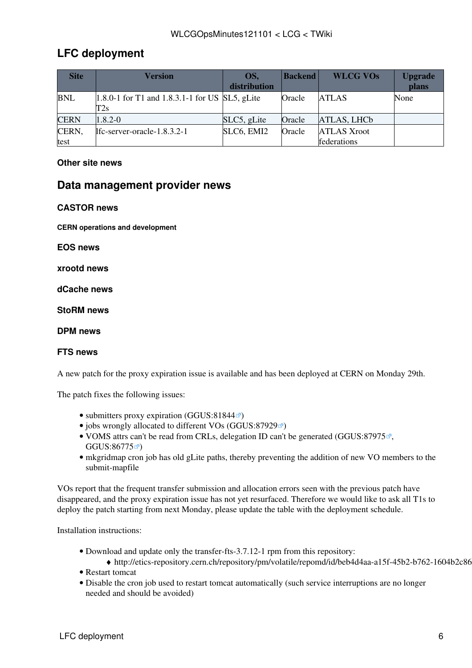### <span id="page-6-0"></span>**LFC deployment**

| <b>Site</b>   | <b>Version</b>                                           | OS.<br>distribution | <b>Backend</b> | <b>WLCG VOs</b>                   | <b>Upgrade</b><br>plans |
|---------------|----------------------------------------------------------|---------------------|----------------|-----------------------------------|-------------------------|
| <b>BNL</b>    | $[1.8.0-1$ for T1 and 1.8.3.1-1 for US SL5, gLite<br>T2s |                     | Oracle         | <b>ATLAS</b>                      | None                    |
| <b>CERN</b>   | $1.8.2 - 0$                                              | SLC5, gLite         | Oracle         | ATLAS, LHCb                       |                         |
| CERN,<br>test | lfc-server-oracle-1.8.3.2-1                              | SLC6, EMI2          | Oracle         | <b>ATLAS Xroot</b><br>federations |                         |

#### <span id="page-6-1"></span>**Other site news**

#### <span id="page-6-2"></span>**Data management provider news**

#### <span id="page-6-3"></span>**CASTOR news**

<span id="page-6-4"></span>**CERN operations and development**

<span id="page-6-5"></span>**EOS news**

<span id="page-6-6"></span>**xrootd news**

<span id="page-6-7"></span>**dCache news**

<span id="page-6-8"></span>**StoRM news**

<span id="page-6-9"></span>**DPM news**

#### <span id="page-6-10"></span>**FTS news**

A new patch for the proxy expiration issue is available and has been deployed at CERN on Monday 29th.

The patch fixes the following issues:

- submitters proxy expiration [\(GGUS:81844](https://ggus.eu/ws/ticket_info.php?ticket=81844) $\sigma$ )
- jobs wrongly allocated to different VOs ([GGUS:87929](https://ggus.eu/ws/ticket_info.php?ticket=87929) $\textcircled{r}$ )
- [VOMS](https://twiki.cern.ch/twiki/bin/view/LCG/VOMS) attrs can't be read from CRLs, delegation ID can't be generated ([GGUS:87975](https://ggus.eu/ws/ticket_info.php?ticket=87975)<sup>®</sup>, [GGUS:86775](https://ggus.eu/ws/ticket_info.php?ticket=86775) $\vec{r}$
- mkgridmap cron job has old gLite paths, thereby preventing the addition of new VO members to the submit-mapfile

VOs report that the frequent transfer submission and allocation errors seen with the previous patch have disappeared, and the proxy expiration issue has not yet resurfaced. Therefore we would like to ask all T1s to deploy the patch starting from next Monday, please update the table with the deployment schedule.

Installation instructions:

- Download and update only the transfer-fts-3.7.12-1 rpm from this repository:
	- ◆ http://etics-repository.cern.ch/repository/pm/volatile/repomd/id/beb4d4aa-a15f-45b2-b762-1604b2c86
- Restart tomcat
- Disable the cron job used to restart tomcat automatically (such service interruptions are no longer needed and should be avoided)